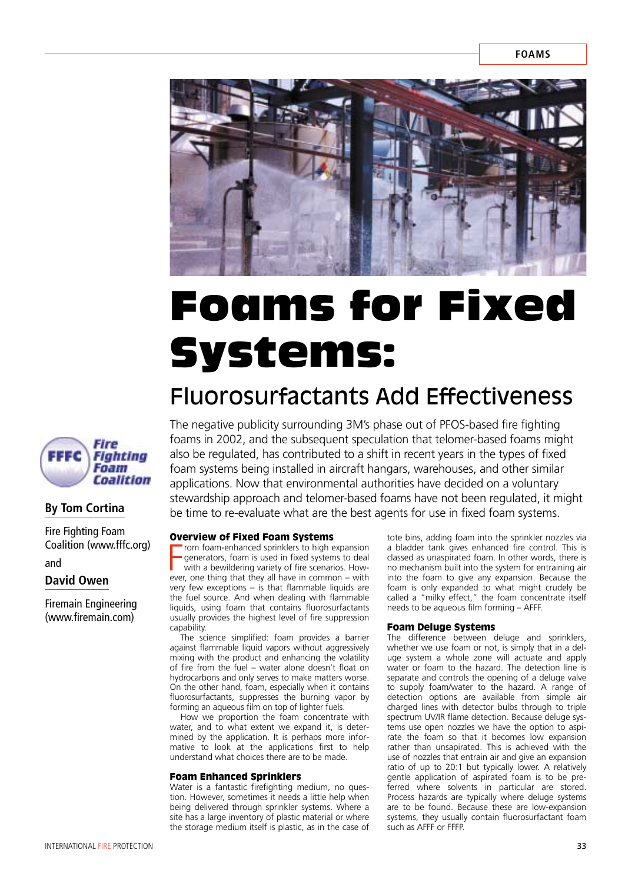

# Foams for Fixed Systems:

# Fluorosurfactants Add Effectiveness



## **By Tom Cortina**

Fire Fighting Foam Coalition (www.fffc.org) and

### **David Owen**

Firemain Engineering (www.firemain.com)

The negative publicity surrounding 3M's phase out of PFOS-based fire fighting foams in 2002, and the subsequent speculation that telomer-based foams might also be regulated, has contributed to a shift in recent years in the types of fixed foam systems being installed in aircraft hangars, warehouses, and other similar applications. Now that environmental authorities have decided on a voluntary stewardship approach and telomer-based foams have not been regulated, it might be time to re-evaluate what are the best agents for use in fixed foam systems.

#### Overview of Fixed Foam Systems

From foam-enhanced sprinklers to high expansion<br>generators, foam is used in fixed systems to deal<br>with a bewildering variety of fire scenarios. How-<br>ever, one thing that they all have in common – with rom foam-enhanced sprinklers to high expansion generators, foam is used in fixed systems to deal with a bewildering variety of fire scenarios. Howvery few exceptions – is that flammable liquids are the fuel source. And when dealing with flammable liquids, using foam that contains fluorosurfactants usually provides the highest level of fire suppression capability.

The science simplified: foam provides a barrier against flammable liquid vapors without aggressively mixing with the product and enhancing the volatility of fire from the fuel – water alone doesn't float on hydrocarbons and only serves to make matters worse. On the other hand, foam, especially when it contains fluorosurfactants, suppresses the burning vapor by forming an aqueous film on top of lighter fuels.

How we proportion the foam concentrate with water, and to what extent we expand it, is determined by the application. It is perhaps more informative to look at the applications first to help understand what choices there are to be made.

#### Foam Enhanced Sprinklers

Water is a fantastic firefighting medium, no question. However, sometimes it needs a little help when being delivered through sprinkler systems. Where a site has a large inventory of plastic material or where the storage medium itself is plastic, as in the case of

tote bins, adding foam into the sprinkler nozzles via a bladder tank gives enhanced fire control. This is classed as unaspirated foam. In other words, there is no mechanism built into the system for entraining air into the foam to give any expansion. Because the foam is only expanded to what might crudely be called a "milky effect," the foam concentrate itself needs to be aqueous film forming – AFFF.

#### Foam Deluge Systems

The difference between deluge and sprinklers, whether we use foam or not, is simply that in a deluge system a whole zone will actuate and apply water or foam to the hazard. The detection line is separate and controls the opening of a deluge valve to supply foam/water to the hazard. A range of detection options are available from simple air charged lines with detector bulbs through to triple spectrum UV/IR flame detection. Because deluge systems use open nozzles we have the option to aspirate the foam so that it becomes low expansion rather than unsapirated. This is achieved with the use of nozzles that entrain air and give an expansion ratio of up to 20:1 but typically lower. A relatively gentle application of aspirated foam is to be preferred where solvents in particular are stored. Process hazards are typically where deluge systems are to be found. Because these are low-expansion systems, they usually contain fluorosurfactant foam such as AFFF or FFFP.